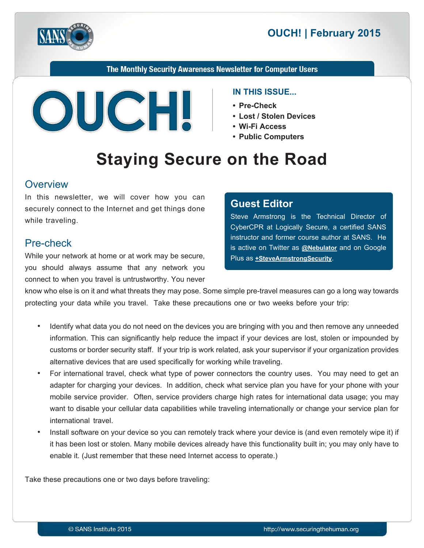

# **2015** OUCH! | February 2015

The Monthly Security Awareness Newsletter for Computer Users



#### **IN THIS ISSUE...**

- Pre-Check
- Lost / Stolen Devices
- Wi-Fi Access
- **Public Computers**

# **Staying Secure on the Road**

#### **Overview**

In this newsletter, we will cover how you can securely connect to the Internet and get things done while traveling.

#### Pre-check

While your network at home or at work may be secure, you should always assume that any network you connect to when you travel is untrustworthy. You never

#### **Editor Guest**

Steve Armstrong is the Technical Director of CyberCPR at Logically Secure, a certified SANS instructor and former course author at SANS. He is active on Twitter as **@[Nebulator](https://twitter.com/nebulator)** and on Google Plus as **+SteveArmstrongSecurity**.

know who else is on it and what threats they may pose. Some simple pre-travel measures can go a long way towards protecting your data while you travel. Take these precautions one or two weeks before your trip:

- ldentify what data you do not need on the devices you are bringing with you and then remove any unneeded information. This can significantly help reduce the impact if your devices are lost, stolen or impounded by customs or border security staff. If your trip is work related, ask your supervisor if your organization provides alternative devices that are used specifically for working while traveling.
- For international travel, check what type of power connectors the country uses. You may need to get an adapter for charging your devices. In addition, check what service plan you have for your phone with your mobile service provider. Often, service providers charge high rates for international data usage; you may want to disable your cellular data capabilities while traveling internationally or change your service plan for international travel
- Install software on your device so you can remotely track where your device is (and even remotely wipe it) if it has been lost or stolen. Many mobile devices already have this functionality built in; you may only have to enable it. (Just remember that these need Internet access to operate.)

Take these precautions one or two days before traveling: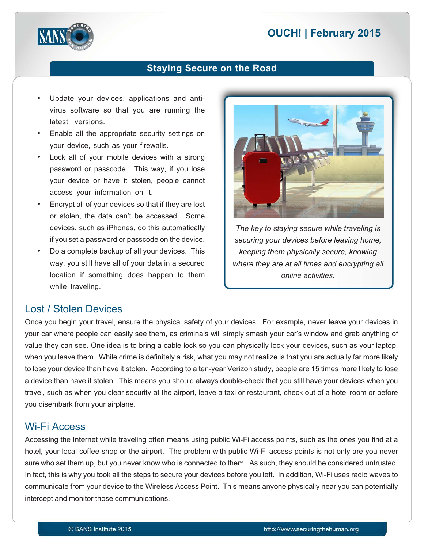# **2015** OUCH! | February 2015



#### **Staying Secure on the Road**

- virus software so that you are running the Update your devices, applications and antilatest versions.
- Enable all the appropriate security settings on your device, such as your firewalls.
- Lock all of your mobile devices with a strong password or passcode. This way, if you lose your device or have it stolen, people cannot access your information on it.
- Encrypt all of your devices so that if they are lost or stolen, the data can't be accessed. Some devices, such as iPhones, do this automatically if you set a password or passcode on the device.
- Do a complete backup of all your devices. This way, you still have all of your data in a secured location if something does happen to them while traveling.



The key to staying secure while traveling is securing your devices before leaving home, *keeping them physically secure, knowing* where they are at all times and encrypting all *.activities online*

#### Lost / Stolen Devices

Once you begin your travel, ensure the physical safety of your devices. For example, never leave your devices in your car where people can easily see them, as criminals will simply smash your car's window and grab anything of value they can see. One idea is to bring a cable lock so you can physically lock your devices, such as your laptop, when you leave them. While crime is definitely a risk, what you may not realize is that you are actually far more likely to lose your device than have it stolen. According to a ten-year Verizon study, people are 15 times more likely to lose a device than have it stolen. This means you should always double-check that you still have your devices when you travel, such as when you clear security at the airport, leave a taxi or restaurant, check out of a hotel room or before you disembark from your airplane.

#### **Wi-Fi Access**

Accessing the Internet while traveling often means using public Wi-Fi access points, such as the ones you find at a hotel, your local coffee shop or the airport. The problem with public Wi-Fi access points is not only are you never sure who set them up, but you never know who is connected to them. As such, they should be considered untrusted. In fact, this is why you took all the steps to secure your devices before you left. In addition, Wi-Fi uses radio waves to communicate from your device to the Wireless Access Point. This means anyone physically near you can potentially intercept and monitor those communications.